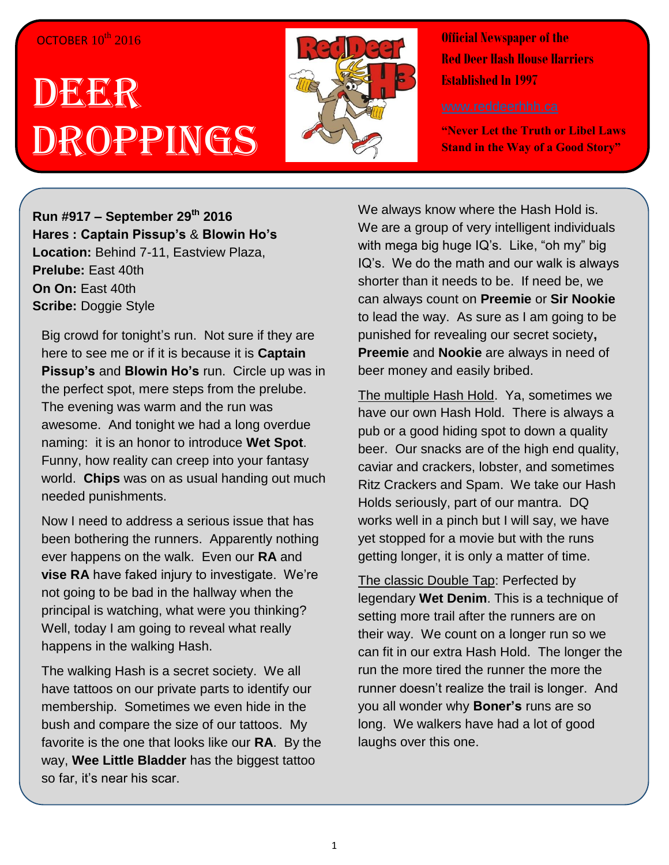## OCTOBER  $10^{th}$  2016

## DEER Droppings



**Official Newspaper of the Red Deer Hash House Harriers Established In 1997** 

**"Never Let the Truth or Libel Laws Stand in the Way of a Good Story"**

**Run #917 – September 29th 2016 Hares : Captain Pissup's** & **Blowin Ho's Location:** Behind 7-11, Eastview Plaza, **Prelube:** East 40th **On On:** East 40th **Scribe:** Doggie Style

Big crowd for tonight's run. Not sure if they are here to see me or if it is because it is **Captain Pissup's** and **Blowin Ho's** run. Circle up was in the perfect spot, mere steps from the prelube. The evening was warm and the run was awesome. And tonight we had a long overdue naming: it is an honor to introduce **Wet Spot**. Funny, how reality can creep into your fantasy world. **Chips** was on as usual handing out much needed punishments.

Now I need to address a serious issue that has been bothering the runners. Apparently nothing ever happens on the walk. Even our **RA** and **vise RA** have faked injury to investigate. We're not going to be bad in the hallway when the principal is watching, what were you thinking? Well, today I am going to reveal what really happens in the walking Hash.

The walking Hash is a secret society. We all have tattoos on our private parts to identify our membership. Sometimes we even hide in the bush and compare the size of our tattoos. My favorite is the one that looks like our **RA**. By the way, **Wee Little Bladder** has the biggest tattoo so far, it's near his scar.

We always know where the Hash Hold is. We are a group of very intelligent individuals with mega big huge IQ's. Like, "oh my" big IQ's. We do the math and our walk is always shorter than it needs to be. If need be, we can always count on **Preemie** or **Sir Nookie** to lead the way. As sure as I am going to be punished for revealing our secret society**, Preemie** and **Nookie** are always in need of beer money and easily bribed.

The multiple Hash Hold. Ya, sometimes we have our own Hash Hold. There is always a pub or a good hiding spot to down a quality beer. Our snacks are of the high end quality, caviar and crackers, lobster, and sometimes Ritz Crackers and Spam. We take our Hash Holds seriously, part of our mantra. DQ works well in a pinch but I will say, we have yet stopped for a movie but with the runs getting longer, it is only a matter of time.

The classic Double Tap: Perfected by legendary **Wet Denim**. This is a technique of setting more trail after the runners are on their way. We count on a longer run so we can fit in our extra Hash Hold. The longer the run the more tired the runner the more the runner doesn't realize the trail is longer. And you all wonder why **Boner's** runs are so long. We walkers have had a lot of good laughs over this one.